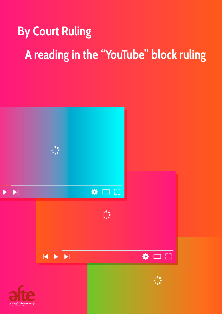# **By Court Ruling A reading in the "YouTube" block ruling**

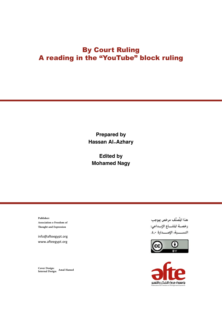## By Court Ruling A reading in the "YouTube" block ruling

Prepared by Hassan Al-Azhary

Edited by Mohamed Nagy

**Publisher: Association o Freedom of Thought and Expression**

info@afteegypt.org www.afteegypt.org

**Cover Design: Internal Design: Amal Hamed**

هذا المُصنَّف مرخص ڥوجب رخصـة المشــاع الإبــداعى: النسسبة، الإصــدارة ٤,٠.



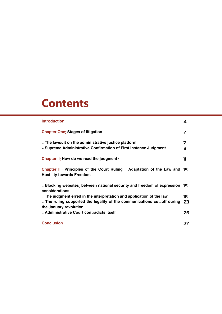## **Contents**

| <b>Introduction</b>                                                                                                                                                         | 4        |
|-----------------------------------------------------------------------------------------------------------------------------------------------------------------------------|----------|
| <b>Chapter One: Stages of litigation</b>                                                                                                                                    | 7        |
| - The lawsuit on the administrative justice platform<br>- Supreme Administrative Confirmation of First Instance Judgment                                                    | 7<br>8   |
| <b>Chapter II: How do we read the judgment?</b>                                                                                                                             | 11       |
| Chapter $\mathbf{II}$ : Principles of the Court Ruling - Adaptation of the Law and $\mathbf{I}$<br><b>Hostility towards Freedom</b>                                         |          |
| - Blocking websites, between national security and freedom of expression 15<br>considerations                                                                               |          |
| - The judgment erred in the interpretation and application of the law<br>- The ruling supported the legality of the communications cut-off during<br>the January revolution | 18<br>23 |
| - Administrative Court contradicts itself                                                                                                                                   | 26       |
| <b>Conclusion</b>                                                                                                                                                           | 27       |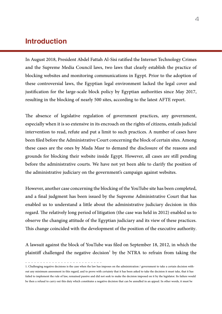## Introduction

In August 2018, President Abdel Fattah Al-Sisi ratified the Internet Technology Crimes and the Supreme Media Council laws, two laws that clearly establish the practice of blocking websites and monitoring communications in Egypt. Prior to the adoption of these controversial laws, the Egyptian legal environment lacked the legal cover and justification for the large-scale block policy by Egyptian authorities since May 2017, resulting in the blocking of nearly 500 sites, according to the latest AFTE report.

The absence of legislative regulation of government practices, any government, especially when it is so extensive in its encroach on the rights of citizens, entails judicial intervention to read, refute and put a limit to such practices. A number of cases have been filed before the Administrative Court concerning the block of certain sites. Among these cases are the ones by Mada Masr to demand the disclosure of the reasons and grounds for blocking their website inside Egypt. However, all cases are still pending before the administrative courts. We have not yet been able to clarify the position of the administrative judiciary on the government's campaign against websites.

However, another case concerning the blocking of the YouTube site has been completed, and a final judgment has been issued by the Supreme Administrative Court that has enabled us to understand a little about the administrative judiciary decision in this regard. The relatively long period of litigation (the case was held in 2012) enabled us to observe the changing attitude of the Egyptian judiciary and its view of these practices. This change coincided with the development of the position of the executive authority.

A lawsuit against the block of YouTube was filed on September 18, 2012, in which the plaintiff challenged the negative decision $^1$  by the NTRA to refrain from taking the

<sup>1.</sup> Challenging negative decisions is the case when the law has imposes on the administration / government to take a certain decision without any minimum assessment in this regard, and to prove with certainty that it has been asked to take the decision it must take, that it has failed to implement the rule of law, remained passive and did not seek to make the decision imposed on it by the legislator. Its failure would be then a refusal to carry out this duty which constitutes a negative decision that can be annulled in an appeal. In other words, it must be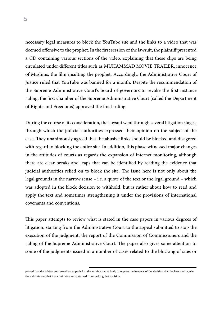necessary legal measures to block the YouTube site and the links to a video that was deemed offensive to the prophet. In the first session of the lawsuit, the plaintiff presented a CD containing various sections of the video, explaining that these clips are being circulated under different titles such as MUHAMMAD MOVIE TRAILER, innocence of Muslims, the film insulting the prophet. Accordingly, the Administrative Court of Justice ruled that YouTube was banned for a month. Despite the recommendation of the Supreme Administrative Court's board of governors to revoke the first instance ruling, the first chamber of the Supreme Administrative Court (called the Department of Rights and Freedoms) approved the final ruling.

During the course of its consideration, the lawsuit went through several litigation stages, through which the judicial authorities expressed their opinion on the subject of the case. They unanimously agreed that the abusive links should be blocked and disagreed with regard to blocking the entire site. In addition, this phase witnessed major changes in the attitudes of courts as regards the expansion of internet monitoring, although there are clear breaks and leaps that can be identified by reading the evidence that judicial authorities relied on to block the site. The issue here is not only about the legal grounds in the narrow sense – i.e. a quote of the text or the legal ground – which was adopted in the block decision to withhold, but is rather about how to read and apply the text and sometimes strengthening it under the provisions of international covenants and conventions.

This paper attempts to review what is stated in the case papers in various degrees of litigation, starting from the Administrative Court to the appeal submitted to stop the execution of the judgment, the report of the Commission of Commissioners and the ruling of the Supreme Administrative Court. The paper also gives some attention to some of the judgments issued in a number of cases related to the blocking of sites or

proved that the subject concerned has appealed to the administrative body to request the issuance of the decision that the laws and regulations dictate and that the administration abstained from making that decision.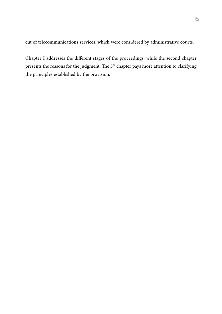cut of telecommunications services, which were considered by administrative courts.

Chapter I addresses the different stages of the proceedings, while the second chapter presents the reasons for the judgment. The  $3<sup>rd</sup>$  chapter pays more attention to clarifying the principles established by the provision.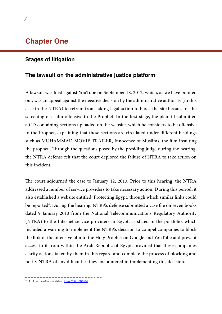## Chapter One

#### Stages of litigation

#### The lawsuit on the administrative justice platform

A lawsuit was filed against YouTube on September 18, 2012, which, as we have pointed out, was an appeal against the negative decision by the administrative authority (in this case in the NTRA) to refrain from taking legal action to block the site because of the screening of a film offensive to the Prophet. In the first stage, the plaintiff submitted a CD containing sections uploaded on the website, which he considers to be offensive to the Prophet, explaining that these sections are circulated under different headings such as MUHAMMAD MOVIE TRAILER, Innocence of Muslims, the film insulting the prophet.. Through the questions posed by the presiding judge during the hearing, the NTRA defense felt that the court deplored the failure of NTRA to take action on this incident.

The court adjourned the case to January 12, 2013. Prior to this hearing, the NTRA addressed a number of service providers to take necessary action. During this period, it also established a website entitled: Protecting Egypt, through which similar links could be reported<sup>2</sup>. During the hearing, NTRA's defense submitted a case file on seven books dated 9 January 2013 from the National Telecommunications Regulatory Authority (NTRA) to the Internet service providers in Egypt, as stated in the portfolio, which included a warning to implement the NTRA's decision to compel companies to block the link of the offensive film to the Holy Prophet on Google and YouTube and prevent access to it from within the Arab Republic of Egypt, provided that these companies clarify actions taken by them in this regard and complete the process of blocking and notify NTRA of any difficulties they encountered in implementing this decision.

2. Link to the offensive video <https://bit.ly/2tSlfJd>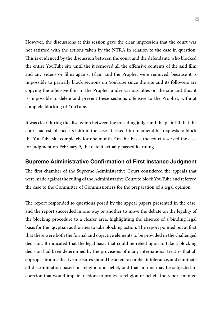However, the discussions at this session gave the clear impression that the court was not satisfied with the actions taken by the NTRA in relation to the case in question. This is evidenced by the discussion between the court and the defendantt, who blocked the entire YouTube site until the it removed all the offensive contents of the said film and any videos or films against Islam and the Prophet were removed, because it is impossible to partially block sections on YouTube since the site and its followers are copying the offensive film to the Prophet under various titles on the site and thus it is impossible to delete and prevent these sections offensive to the Prophet, without complete blocking of YouTube.

It was clear during the discussion between the presiding judge and the plaintiff that the court had established its faith in the case. It asked him to amend his requests to block the YouTube site completely for one month. On this basis, the court reserved the case for judgment on February 9, the date it actually passed its ruling.

#### Supreme Administrative Confirmation of First Instance Judgment

The first chamber of the Supreme Administrative Court considered the appeals that were made against the ruling of the Administrative Court to block YouTube and referred the case to the Committee of Commissioners for the preparation of a legal opinion.

The report responded to questions posed by the appeal papers presented in the case, and the report succeeded in one way or another to move the debate on the legality of the blocking procedure to a clearer area, highlighting the absence of a binding legal basis for the Egyptian authorities to take blocking action. The report pointed out at first that there were both the formal and objective elements to be provided in the challenged decision. It indicated that the legal basis that could be relied upon to take a blocking decision had been determined by the provisions of many international treaties that all appropriate and effective measures should be taken to combat intolerance, and eliminate all discrimination based on religion and belief, and that no one may be subjected to coercion that would impair freedom to profess a religion or belief. The report pointed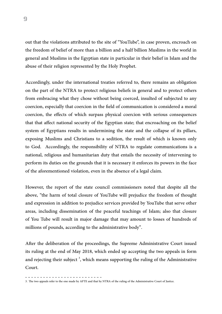out that the violations attributed to the site of "YouTube", in case proven, encroach on the freedom of belief of more than a billion and a half billion Muslims in the world in general and Muslims in the Egyptian state in particular in their belief in Islam and the abuse of their religion represented by the Holy Prophet.

Accordingly, under the international treaties referred to, there remains an obligation on the part of the NTRA to protect religious beliefs in general and to protect others from embracing what they chose without being coerced, insulted of subjected to any coercion, especially that coercion in the field of communication is considered a moral coercion, the effects of which surpass physical coercion with serious consequences that that affect national security of the Egyptian state; that encroaching on the belief system of Egyptians results in undermining the state and the collapse of its pillars, exposing Muslims and Christians to a sedition, the result of which is known only to God. Accordingly, the responsibility of NTRA to regulate communications is a national, religious and humanitarian duty that entails the necessity of intervening to perform its duties on the grounds that it is necessary it enforces its powers in the face of the aforementioned violation, even in the absence of a legal claim.

However, the report of the state council commissioners noted that despite all the above, "the harm of total closure of YouTube will prejudice the freedom of thought and expression in addition to prejudice services provided by YouTube that serve other areas, including dissemination of the peaceful teachings of Islam; also that closure of You Tube will result in major damage that may amount to losses of hundreds of millions of pounds, according to the administrative body".

After the deliberation of the proceedings, the Supreme Administrative Court issued its ruling at the end of May 2018, which ended up accepting the two appeals in form and rejecting their subject  $\frac{3}{2}$ , which means supporting the ruling of the Administrative Court.

<sup>3.</sup> The two appeals refer to the one made by AFTE and that by NTRA of the ruling of the Administrative Court of Justice.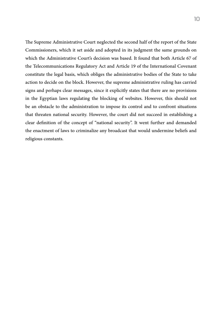The Supreme Administrative Court neglected the second half of the report of the State Commissioners, which it set aside and adopted in its judgment the same grounds on which the Administrative Court's decision was based. It found that both Article 67 of the Telecommunications Regulatory Act and Article 19 of the International Covenant constitute the legal basis, which obliges the administrative bodies of the State to take action to decide on the block. However, the supreme administrative ruling has carried signs and perhaps clear messages, since it explicitly states that there are no provisions in the Egyptian laws regulating the blocking of websites. However, this should not be an obstacle to the administration to impose its control and to confront situations that threaten national security. However, the court did not succeed in establishing a clear definition of the concept of "national security". It went further and demanded the enactment of laws to criminalize any broadcast that would undermine beliefs and religious constants.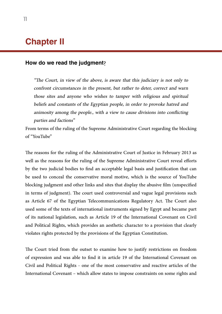## Chapter II

#### How do we read the judgment?

"The Court, in view of the above, is aware that this judiciary is not only to confront circumstances in the present, but rather to deter, correct and warn those sites and anyone who wishes to tamper with religious and spiritual beliefs and constants of the Egyptian people, in order to provoke hatred and animosity among the people., with a view to cause divisions into conflicting parties and factions"

From terms of the ruling of the Supreme Administrative Court regarding the blocking of "YouTube"

The reasons for the ruling of the Administrative Court of Justice in February 2013 as well as the reasons for the ruling of the Supreme Administrative Court reveal efforts by the two judicial bodies to find an acceptable legal basis and justification that can be used to conceal the conservative moral motive, which is the source of YouTube blocking judgment and other links and sites that display the abusive film (unspecified in terms of judgment). The court used controversial and vague legal provisions such as Article 67 of the Egyptian Telecommunications Regulatory Act. The Court also used some of the texts of international instruments signed by Egypt and became part of its national legislation, such as Article 19 of the International Covenant on Civil and Political Rights, which provides an aesthetic character to a provision that clearly violates rights protected by the provisions of the Egyptian Constitution.

The Court tried from the outset to examine how to justify restrictions on freedom of expression and was able to find it in article 19 of the International Covenant on Civil and Political Rights - one of the most conservative and reactive articles of the International Covenant – which allow states to impose constraints on some rights and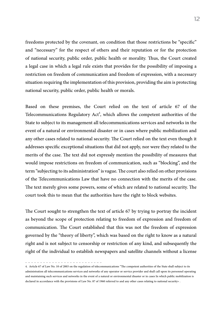freedoms protected by the covenant, on condition that those restrictions be "specific" and "necessary" for the respect of others and their reputation or for the protection of national security, public order, public health or morality. Thus, the Court created a legal case in which a legal rule exists that provides for the possibility of imposing a restriction on freedom of communication and freedom of expression, with a necessary situation requiring the implementation of this provision, providing the aim is protecting national security, public order, public health or morals.

Based on these premises, the Court relied on the text of article 67 of the Telecommunications Regulatory  $Act<sup>4</sup>$ , which allows the competent authorities of the State to subject to its management all telecommunications services and networks in the event of a natural or environmental disaster or in cases where public mobilization and any other cases related to national security. The Court relied on the text even though it addresses specific exceptional situations that did not apply, nor were they related to the merits of the case. The text did not expressly mention the possibility of measures that would impose restrictions on freedom of communication, such as "blocking", and the term "subjecting to its administration" is vague. The court also relied on other provisions of the Telecommunications Law that have no connection with the merits of the case. The text merely gives some powers, some of which are related to national security. The court took this to mean that the authorities have the right to block websites.

The Court sought to strengthen the text of article 67 by trying to portray the incident as beyond the scope of protection relating to freedom of expression and freedom of communication. The Court established that this was not the freedom of expression governed by the "theory of liberty", which was based on the right to know as a natural right and is not subject to censorship or restriction of any kind, and subsequently the right of the individual to establish newspapers and satellite channels without a license

\_ \_ \_ \_ \_ \_ \_ \_ \_ \_ \_ \_ \_ \_ \_ \_

<sup>4.</sup> Article 67 of Law No. 10 of 2003 on the regulation of telecommunications "The competent authorities of the State shall subject to its administration all telecommunications services and networks of any operator or service provider and shall call upon its personnel operating and maintaining such services and networks in the event of a natural or environmental disaster or in cases In which public mobilization is declared in accordance with the provisions of Law No. 87 of 1960 referred to and any other cases relating to national security».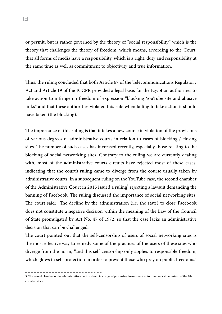or permit, but is rather governed by the theory of "social responsibility," which is the theory that challenges the theory of freedom, which means, according to the Court, that all forms of media have a responsibility, which is a right, duty and responsibility at the same time as well as commitment to objectivity and true information.

Thus, the ruling concluded that both Article 67 of the Telecommunications Regulatory Act and Article 19 of the ICCPR provided a legal basis for the Egyptian authorities to take action to infringe on freedom of expression "blocking YouTube site and abusive links" and that these authorities violated this rule when failing to take action it should have taken (the blocking).

The importance of this ruling is that it takes a new course in violation of the provisions of various degrees of administrative courts in relation to cases of blocking / closing sites. The number of such cases has increased recently, especially those relating to the blocking of social networking sites. Contrary to the ruling we are currently dealing with, most of the administrative courts circuits have rejected most of these cases, indicating that the court's ruling came to diverge from the course usually taken by administrative courts. In a subsequent ruling on the YouTube case, the second chamber of the Administrative Court in 2015 issued a ruling $^5$  rejecting a lawsuit demanding the banning of Facebook. The ruling discussed the importance of social networking sites. The court said: "The decline by the administration (i.e. the state) to close Facebook does not constitute a negative decision within the meaning of the Law of the Council of State promulgated by Act No. 47 of 1972, so that the case lacks an administrative decision that can be challenged.

The court pointed out that the self-censorship of users of social networking sites is the most effective way to remedy some of the practices of the users of these sites who diverge from the norm, "and this self-censorship only applies to responsible freedom, which glows in self-protection in order to prevent those who prey on public freedoms."

<sup>5.</sup> The second chamber of the administrative court has been in charge of processing lawsuits related to communication instead of the 7th chamber since…..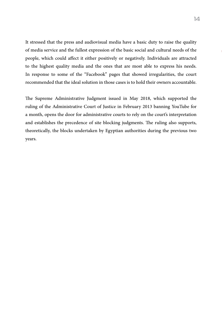It stressed that the press and audiovisual media have a basic duty to raise the quality of media service and the fullest expression of the basic social and cultural needs of the people, which could affect it either positively or negatively. Individuals are attracted to the highest quality media and the ones that are most able to express his needs. In response to some of the "Facebook" pages that showed irregularities, the court recommended that the ideal solution in those cases is to hold their owners accountable.

The Supreme Administrative Judgment issued in May 2018, which supported the ruling of the Administrative Court of Justice in February 2013 banning YouTube for a month, opens the door for administrative courts to rely on the court's interpretation and establishes the precedence of site blocking judgments. The ruling also supports, theoretically, the blocks undertaken by Egyptian authorities during the previous two years.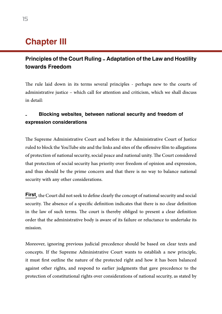## **Chapter III**

### Principles of the Court Ruling - Adaptation of the Law and Hostility towards Freedom

The rule laid down in its terms several principles - perhaps new to the courts of administrative justice – which call for attention and criticism, which we shall discuss in detail:

#### **-** Blocking websites, between national security and freedom of expression considerations

The Supreme Administrative Court and before it the Administrative Court of Justice ruled to block the YouTube site and the links and sites of the offensive film to allegations of protection of national security, social peace and national unity. The Court considered that protection of social security has priority over freedom of opinion and expression, and thus should be the prime concern and that there is no way to balance national security with any other considerations.

**First,** the Court did not seek to define clearly the concept of national security and social security. The absence of a specific definition indicates that there is no clear definition in the law of such terms. The court is thereby obliged to present a clear definition order that the administrative body is aware of its failure or reluctance to undertake its mission.

Moreover, ignoring previous judicial precedence should be based on clear texts and concepts. If the Supreme Administrative Court wants to establish a new principle, it must first outline the nature of the protected right and how it has been balanced against other rights, and respond to earlier judgments that gave precedence to the protection of constitutional rights over considerations of national security, as stated by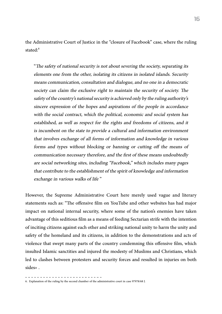the Administrative Court of Justice in the "closure of Facebook" case, where the ruling stated: 6

"The safety of national security is not about severing the society, separating its elements one from the other, isolating its citizens in isolated islands. Security means communication, consultation and dialogue, and no one in a democratic society can claim the exclusive right to maintain the security of society. The safety of the country's national security is achieved only by the ruling authority's sincere expression of the hopes and aspirations of the people in accordance with the social contract, which the political, economic and social system has established, as well as respect for the rights and freedoms of citizens, and it is incumbent on the state to provide a cultural and information environment that involves exchange of all forms of information and knowledge in various forms and types without blocking or banning or cutting off the means of communication necessary therefore, and the first of these means undoubtedly are social networking sites, including "Facebook," which includes many pages that contribute to the establishment of the spirit of knowledge and information exchange in various walks of life "

However, the Supreme Administrative Court here merely used vague and literary statements such as: "The offensive film on YouTube and other websites has had major impact on national internal security, where some of the nation's enemies have taken advantage of this seditious film as a means of feeding Sectarian strife with the intention of inciting citizens against each other and striking national unity to harm the unity and safety of the homeland and its citizens, in addition to the demonstrations and acts of violence that swept many parts of the country condemning this offensive film, which insulted Islamic sanctities and injured the modesty of Muslims and Christians, which led to clashes between protesters and security forces and resulted in injuries on both sides».

<sup>6.</sup> Explanation of the ruling by the second chamber of the administrative court in case 97978/68 J.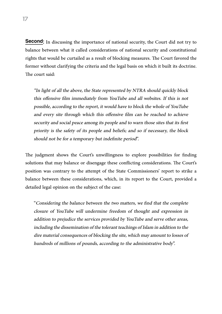**Second:** In discussing the importance of national security, the Court did not try to balance between what it called considerations of national security and constitutional rights that would be curtailed as a result of blocking measures. The Court favored the former without clarifying the criteria and the legal basis on which it built its doctrine. The court said:

"In light of all the above, the State represented by NTRA should quickly block this offensive film immediately from YouTube and all websites. If this is not possible, according to the report, it would have to block the whole of YouTube and every site through which this offensive film can be reached to achieve security and social peace among its people and to warn those sites that its first priority is the safety of its people and beliefs; and so if necessary, the block should not be for a temporary but indefinite period".

The judgment shows the Court's unwillingness to explore possibilities for finding solutions that may balance or disengage these conflicting considerations. The Court's position was contrary to the attempt of the State Commissioners' report to strike a balance between these considerations, which, in its report to the Court, provided a detailed legal opinion on the subject of the case:

"Considering the balance between the two matters, we find that the complete closure of YouTube will undermine freedom of thought and expression in addition to prejudice the services provided by YouTube and serve other areas, including the dissemination of the tolerant teachings of Islam in addition to the dire material consequences of blocking the site, which may amount to losses of hundreds of millions of pounds, according to the administrative body".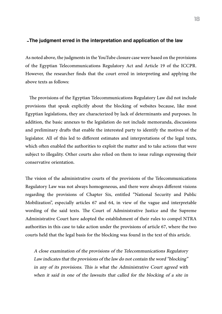#### -The judgment erred in the interpretation and application of the law

As noted above, the judgments in the YouTube closure case were based on the provisions of the Egyptian Telecommunications Regulatory Act and Article 19 of the ICCPR. However, the researcher finds that the court erred in interpreting and applying the above texts as follows:

 The provisions of the Egyptian Telecommunications Regulatory Law did not include provisions that speak explicitly about the blocking of websites because, like most Egyptian legislations, they are characterized by lack of determinants and purposes. In addition, the basic annexes to the legislation do not include memoranda, discussions and preliminary drafts that enable the interested party to identify the motives of the legislator. All of this led to different estimates and interpretations of the legal texts, which often enabled the authorities to exploit the matter and to take actions that were subject to illegality. Other courts also relied on them to issue rulings expressing their conservative orientation.

The vision of the administrative courts of the provisions of the Telecommunications Regulatory Law was not always homogeneous, and there were always different visions regarding the provisions of Chapter Six, entitled "National Security and Public Mobilization", especially articles 67 and 64, in view of the vague and interpretable wording of the said texts. The Court of Administrative Justice and the Supreme Administrative Court have adopted the establishment of their rules to compel NTRA authorities in this case to take action under the provisions of article 67, where the two courts held that the legal basis for the blocking was found in the text of this article.

A close examination of the provisions of the Telecommunications Regulatory Law indicates that the provisions of the law do not contain the word "blocking" in any of its provisions. This is what the Administrative Court agreed with when it said in one of the lawsuits that called for the blocking of a site in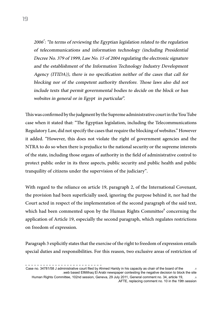2006 $\cdot$ : "In terms of reviewing the Egyptian legislation related to the regulation of telecommunications and information technology (including Presidential Decree No. 379 of 1999, Law No. 15 of 2004 regulating the electronic signature and the establishment of the Information Technology Industry Development Agency (ITIDA)), there is no specification neither of the cases that call for blocking nor of the competent authority therefore. Those laws also did not include texts that permit governmental bodies to decide on the block or ban websites in general or in Egypt in particular".

This was confirmed by the judgment by the Supreme administrative court in the You Tube case when it stated that: "The Egyptian legislation, including the Telecommunications Regulatory Law, did not specify the cases that require the blocking of websites." However it added. "However, this does not violate the right of government agencies and the NTRA to do so when there is prejudice to the national security or the supreme interests of the state, including those organs of authority in the field of administrative control to protect public order in its three aspects, public security and public health and public tranquility of citizens under the supervision of the judiciary".

With regard to the reliance on article 19, paragraph 2, of the International Covenant, the provision had been superficially used, ignoring the purpose behind it, nor had the Court acted in respect of the implementation of the second paragraph of the said text, which had been commented upon by the Human Rights Committee<sup>8</sup> concerning the application of Article 19, especially the second paragraph, which regulates restrictions on freedom of expression.

Paragraph 3 explicitly states that the exercise of the right to freedom of expression entails special duties and responsibilities. For this reason, two exclusive areas of restriction of

Case no. 34781/58 J administrative court filed by Ahmed Haridy in his capacity as chair of the board of the ... .web based ElMithaq El Arabi newspaper contesting the negative decision to block the site Human Rights Committee, 102nd session, Geneva, 29 July 2011, General comment no. 34, article 19, .8 .AFTE, replacing comment no. 10 in the 19th session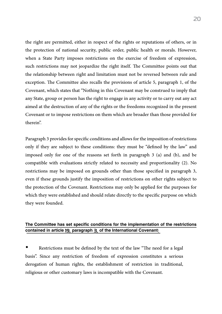the right are permitted, either in respect of the rights or reputations of others, or in the protection of national security, public order, public health or morals. However, when a State Party imposes restrictions on the exercise of freedom of expression, such restrictions may not jeopardize the right itself. The Committee points out that the relationship between right and limitation must not be reversed between rule and exception. The Committee also recalls the provisions of article 5, paragraph 1, of the Covenant, which states that "Nothing in this Covenant may be construed to imply that any State, group or person has the right to engage in any activity or to carry out any act aimed at the destruction of any of the rights or the freedoms recognized in the present Covenant or to impose restrictions on them which are broader than those provided for therein".

Paragraph 3 provides for specific conditions and allows for the imposition of restrictions only if they are subject to these conditions: they must be "defined by the law" and imposed only for one of the reasons set forth in paragraph 3 (a) and (b), and be compatible with evaluations strictly related to necessity and proportionality (2). No restrictions may be imposed on grounds other than those specified in paragraph 3, even if these grounds justify the imposition of restrictions on other rights subject to the protection of the Covenant. Restrictions may only be applied for the purposes for which they were established and should relate directly to the specific purpose on which they were founded.

#### The Committee has set specific conditions for the implementation of the restrictions contained in article 19, paragraph 3, of the International Covenant:

Restrictions must be defined by the text of the law "The need for a legal basis". Since any restriction of freedom of expression constitutes a serious derogation of human rights, the establishment of restriction in traditional, religious or other customary laws is incompatible with the Covenant.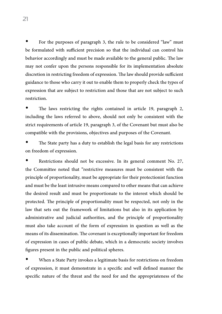For the purposes of paragraph 3, the rule to be considered "law" must be formulated with sufficient precision so that the individual can control his behavior accordingly and must be made available to the general public. The law may not confer upon the persons responsible for its implementation absolute discretion in restricting freedom of expression. The law should provide sufficient guidance to those who carry it out to enable them to properly check the types of expression that are subject to restriction and those that are not subject to such restriction.

The laws restricting the rights contained in article 19, paragraph 2, including the laws referred to above, should not only be consistent with the strict requirements of article 19, paragraph 3, of the Covenant but must also be compatible with the provisions, objectives and purposes of the Covenant.

The State party has a duty to establish the legal basis for any restrictions on freedom of expression.

Restrictions should not be excessive. In its general comment No. 27, the Committee noted that "restrictive measures must be consistent with the principle of proportionality, must be appropriate for their protectionist function and must be the least intrusive means compared to other means that can achieve the desired result and must be proportionate to the interest which should be protected. The principle of proportionality must be respected, not only in the law that sets out the framework of limitations but also in its application by administrative and judicial authorities, and the principle of proportionality must also take account of the form of expression in question as well as the means of its dissemination. The covenant is exceptionally important for freedom of expression in cases of public debate, which in a democratic society involves figures present in the public and political spheres.

When a State Party invokes a legitimate basis for restrictions on freedom of expression, it must demonstrate in a specific and well defined manner the specific nature of the threat and the need for and the appropriateness of the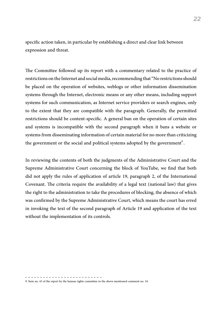specific action taken, in particular by establishing a direct and clear link between expression and threat.

The Committee followed up its report with a commentary related to the practice of restrictions on the Internet and social media, recommending that "No restrictions should be placed on the operation of websites, weblogs or other information dissemination systems through the Internet, electronic means or any other means, including support systems for such communication, as Internet service providers or search engines, only to the extent that they are compatible with the paragraph. Generally, the permitted restrictions should be content-specific. A general ban on the operation of certain sites and systems is incompatible with the second paragraph when it bans a website or systems from disseminating information of certain material for no more than criticizing the government or the social and political systems adopted by the government<sup>9</sup>. .

In reviewing the contents of both the judgments of the Administrative Court and the Supreme Administrative Court concerning the block of YouTube, we find that both did not apply the rules of application of article 19, paragraph 2, of the International Covenant. The criteria require the availability of a legal text (national law) that gives the right to the administration to take the procedures of blocking, the absence of which was confirmed by the Supreme Administrative Court, which means the court has erred in invoking the text of the second paragraph of Article 19 and application of the text without the implementation of its controls.

9. Item no. 43 of the report by the human rights committee in the above mentioned comment no. 34.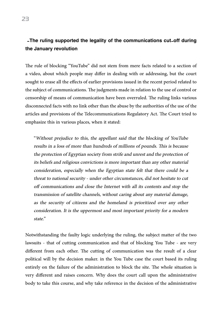#### -The ruling supported the legality of the communications cut-off during the January revolution

The rule of blocking "YouTube" did not stem from mere facts related to a section of a video, about which people may differ in dealing with or addressing, but the court sought to erase all the effects of earlier provisions issued in the recent period related to the subject of communications. The judgments made in relation to the use of control or censorship of means of communication have been overruled. The ruling links various disconnected facts with no link other than the abuse by the authorities of the use of the articles and provisions of the Telecommunications Regulatory Act. The Court tried to emphasize this in various places, when it stated:

"Without prejudice to this, the appellant said that the blocking of YouTube results in a loss of more than hundreds of millions of pounds. This is because the protection of Egyptian society from strife and unrest and the protection of its beliefs and religious convictions is more important than any other material consideration, especially when the Egyptian state felt that there could be a threat to national security - under other circumstances, did not hesitate to cut off communications and close the Internet with all its contents and stop the transmission of satellite channels, without caring about any material damage, as the security of citizens and the homeland is prioritized over any other consideration. It is the uppermost and most important priority for a modern state."

Notwithstanding the faulty logic underlying the ruling, the subject matter of the two lawsuits - that of cutting communication and that of blocking You Tube - are very different from each other. The cutting of communication was the result of a clear political will by the decision maker. in the You Tube case the court based its ruling entirely on the failure of the administration to block the site. The whole situation is very different and raises concern. Why does the court call upon the administrative body to take this course, and why take reference in the decision of the administrative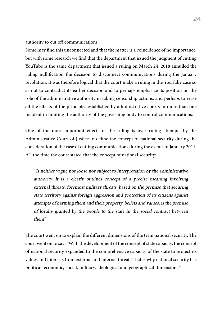authority to cut off communications.

Some may find this unconnected and that the matter is a coincidence of no importance, but with some research we find that the department that issued the judgment of cutting YouTube is the same department that issued a ruling on March 24, 2018 annulled the ruling nullification the decision to disconnect communications during the January revolution. It was therefore logical that the court make a ruling in the YouTube case so as not to contradict its earlier decision and to perhaps emphasize its position on the role of the administrative authority in taking censorship actions, and perhaps to erase all the effects of the principles established by administrative courts in more than one incident in limiting the authority of the governing body to control communications.

One of the most important effects of the ruling is over ruling attempts by the Administrative Court of Justice to define the concept of national security during the consideration of the case of cutting communications during the events of January 2011. AT the time the court stated that the concept of national security:

"Is neither vague nor loose nor subject to interpretation by the administrative authority. It is a clearly outlines concept of a precise meaning involving external threats, foremost military threats, based on the premise that securing state territory against foreign aggression and protection of its citizens against attempts of harming them and their property, beliefs and values, is the premise of loyalty granted by the people to the state in the social contract between them"

The court went on to explain the different dimensions of the term national security. The court went on to say: "With the development of the concept of state capacity, the concept of national security expanded to the comprehensive capacity of the state to protect its values and interests from external and internal threats.That is why national security has political, economic, social, military, ideological and geographical dimensions."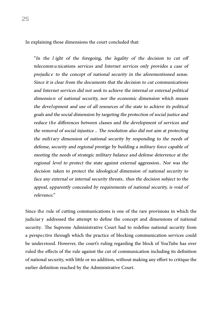In explaining those dimensions the court concluded that:

"In the l ight of the foregoing, the legality of the decision to cut off telecommu nications services and Internet services only provides a case of prejudic e to the concept of national security in the aforementioned sense. Since it is clear from the documents that the decision to cut communications and Internet services did not seek to achieve the internal or external political dimension of national security, nor the economic dimension which means the development and use of all resources of the state to achieve its political goals and the social dimension by targeting the protection of social justice and reduce the differences between classes and the development of services and the removal of social injustice .. The resolution also did not aim at protecting the milit ary dimension of national security by responding to the needs of defense, security and regional prestige by building a military force capable of meeting the needs of strategic military balance and defense deterrence at the regional level to protect the state against external aggression.. Nor was the decision taken to protect the ideological dimension of national security to face any external or internal security threats.. thus the decision subject to the appeal, apparently concealed by requirements of national security, is void of relevance"

Since the rule of cutting communications is one of the rare provisions in which the judiciar y addressed the attempt to define the concept and dimensions of national security. The Supreme Administrative Court had to redefine national security from a perspective through which the practice of blocking communication services could be understood. However, the court's ruling regarding the block of YouTube has over ruled the effects of the rule against the cut of communication including its definition of national security, with little or no addition, without making any effort to critique the earlier definition reached by the Administrative Court.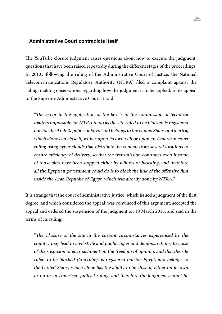#### -Administrative Court contradicts itself

The YouTube closure judgment raises questions about how to execute the judgment, questions that have been raised repeatedly during the different stages of the proceedings. In 2013 , following the ruling of the Administrative Court of Justice, the National Telecom m unications Regulatory Authority (NTRA) filed a complaint against the ruling, making observations regarding how the judgment is to be applied. In its appeal to the Supreme Administrative Court it said:

"The error in the application of the law is in the commission of technical matters impossible for NTRA to do as the site ruled to be blocked is registered outside the Arab Republic of Egypt and belongs to the United States of America, which alone can close it, wither upon its own will or upon an American court ruling using cyber clouds that distribute the content from several locations to ensure efficiency of delivery, so that the transmission continues even if some of those sites have been stopped either by failures or blocking, and therefore all the Egyptian government could do is to block the link of the offensive film inside the Arab Republic of Egypt, which was already done by NTRA."

It is strange that the court of administrative justice, which issued a judgment of the first degree, and which considered the appeal, was convinced of this argument, accepted the appeal and ordered the suspension of the judgment on 10 March 2013, and said in the terms of its ruling:

"The c <sup>l</sup> osure of the site in the current circumstances experienced by the country may lead to civil strife and public anger and demonstrations, because of the suspicion of encroachment on the freedom of opinion, and that the site ruled to be blocked (YouTube), is registered outside Egypt, and belongs to the United States, which alone has the ability to be close it, either on its own or upon an American judicial ruling, and therefore the judgment cannot be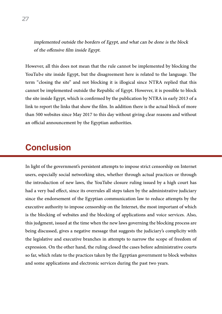implemented outside the borders of Egypt, and what can be done is the block of the offensive film inside Egypt.

However, all this does not mean that the rule cannot be implemented by blocking the YouTube site inside Egypt, but the disagreement here is related to the language. The term "closing the site" and not blocking it is illogical since NTRA replied that this cannot be implemented outside the Republic of Egypt. However, it is possible to block the site inside Egypt, which is confirmed by the publication by NTRA in early 2013 of a link to report the links that show the film. In addition there is the actual block of more than 500 websites since May 2017 to this day without giving clear reasons and without an official announcement by the Egyptian authorities.

## **Conclusion**

In light of the government's persistent attempts to impose strict censorship on Internet users, especially social networking sites, whether through actual practices or through the introduction of new laws, the YouTube closure ruling issued by a high court has had a very bad effect, since its overrules all steps taken by the administrative judiciary since the endorsement of the Egyptian communication law to reduce attempts by the executive authority to impose censorship on the Internet, the most important of which is the blocking of websites and the blocking of applications and voice services. Also, this judgment, issued at the time when the new laws governing the blocking process are being discussed, gives a negative message that suggests the judiciary's complicity with the legislative and executive branches in attempts to narrow the scope of freedom of expression. On the other hand, the ruling closed the cases before administrative courts so far, which relate to the practices taken by the Egyptian government to block websites and some applications and electronic services during the past two years.